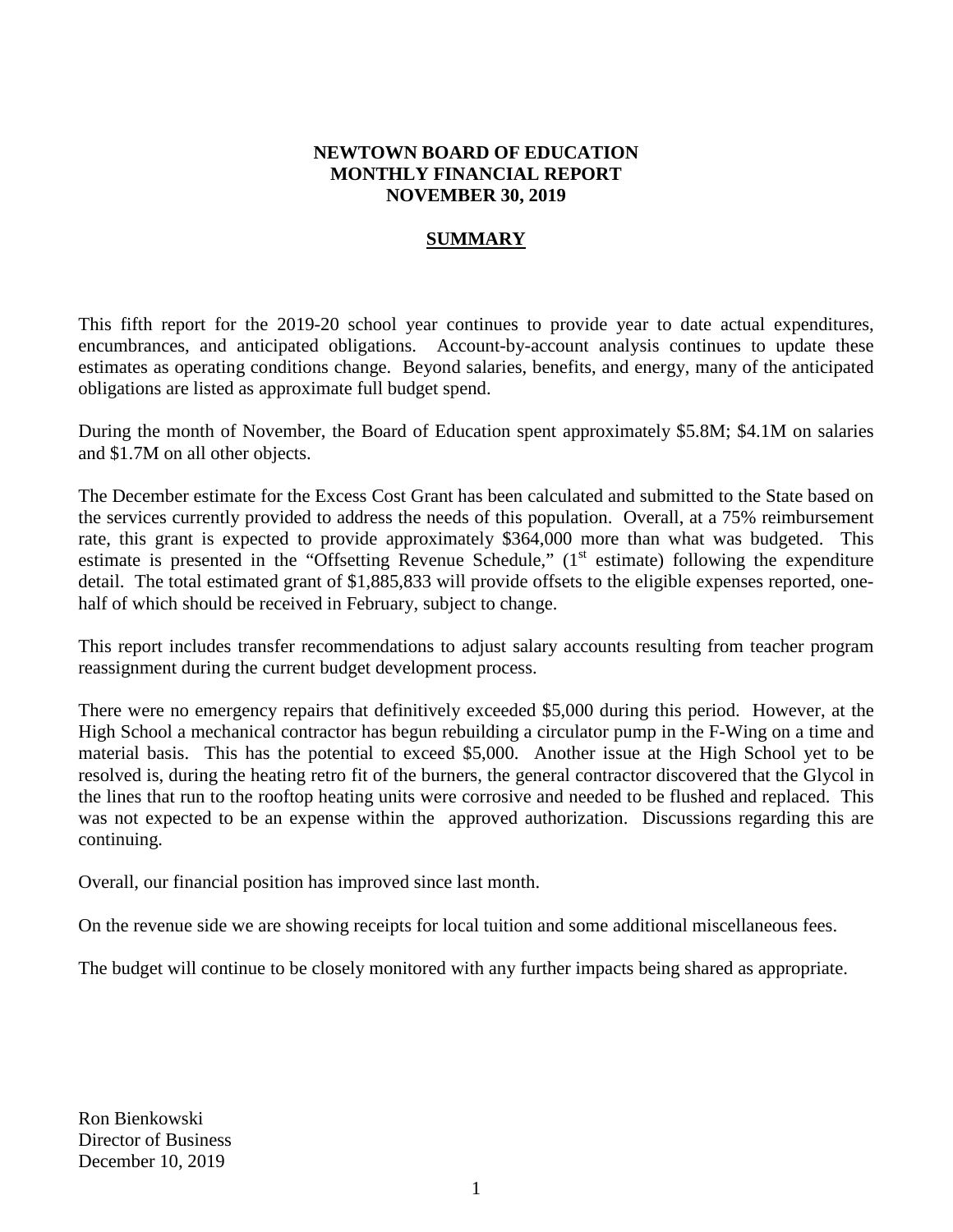## **NEWTOWN BOARD OF EDUCATION MONTHLY FINANCIAL REPORT NOVEMBER 30, 2019**

## **SUMMARY**

This fifth report for the 2019-20 school year continues to provide year to date actual expenditures, encumbrances, and anticipated obligations. Account-by-account analysis continues to update these estimates as operating conditions change. Beyond salaries, benefits, and energy, many of the anticipated obligations are listed as approximate full budget spend.

During the month of November, the Board of Education spent approximately \$5.8M; \$4.1M on salaries and \$1.7M on all other objects.

The December estimate for the Excess Cost Grant has been calculated and submitted to the State based on the services currently provided to address the needs of this population. Overall, at a 75% reimbursement rate, this grant is expected to provide approximately \$364,000 more than what was budgeted. This estimate is presented in the "Offsetting Revenue Schedule,"  $(1<sup>st</sup>$  estimate) following the expenditure detail. The total estimated grant of \$1,885,833 will provide offsets to the eligible expenses reported, onehalf of which should be received in February, subject to change.

This report includes transfer recommendations to adjust salary accounts resulting from teacher program reassignment during the current budget development process.

There were no emergency repairs that definitively exceeded \$5,000 during this period. However, at the High School a mechanical contractor has begun rebuilding a circulator pump in the F-Wing on a time and material basis. This has the potential to exceed \$5,000. Another issue at the High School yet to be resolved is, during the heating retro fit of the burners, the general contractor discovered that the Glycol in the lines that run to the rooftop heating units were corrosive and needed to be flushed and replaced. This was not expected to be an expense within the approved authorization. Discussions regarding this are continuing.

Overall, our financial position has improved since last month.

On the revenue side we are showing receipts for local tuition and some additional miscellaneous fees.

The budget will continue to be closely monitored with any further impacts being shared as appropriate.

Ron Bienkowski Director of Business December 10, 2019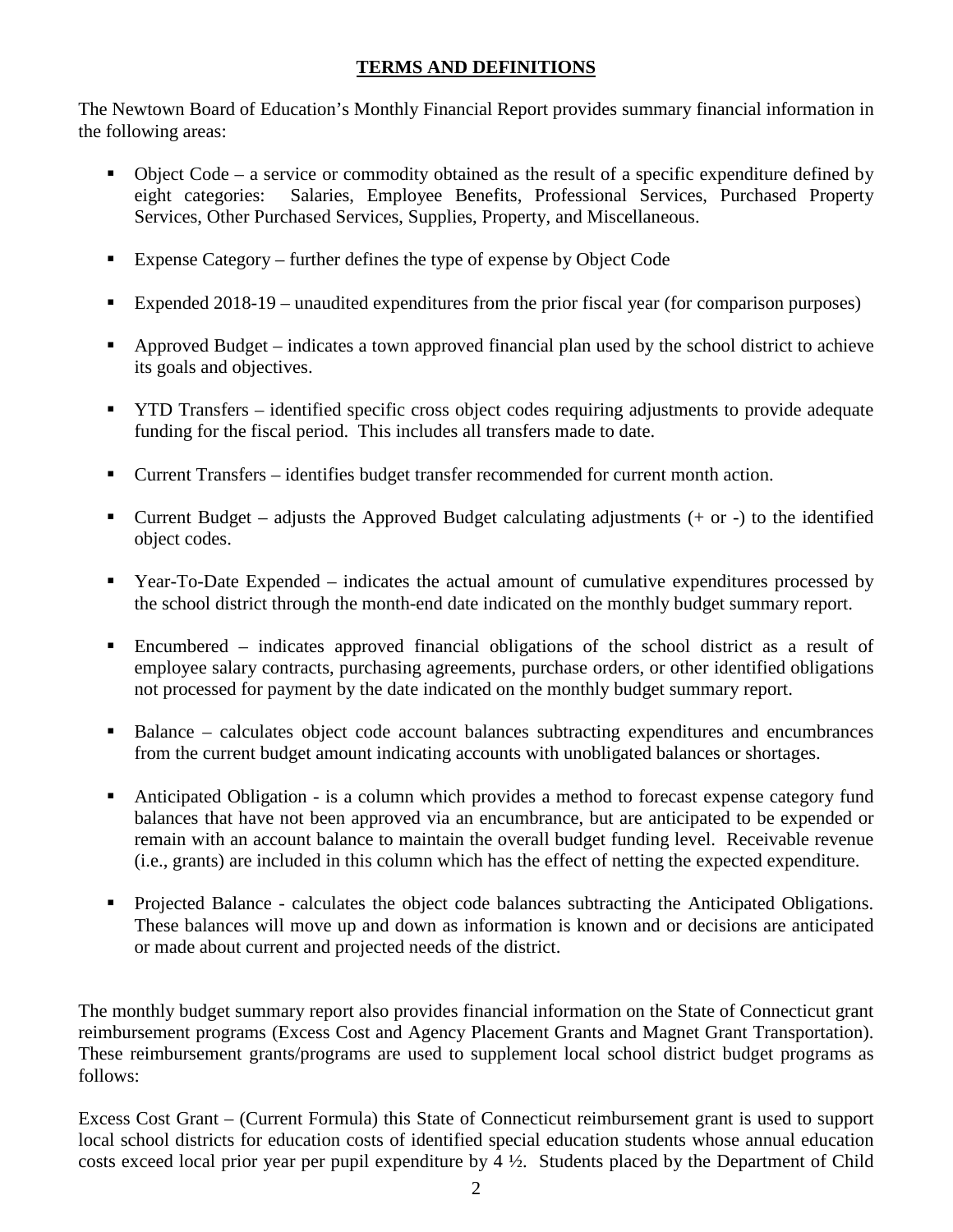# **TERMS AND DEFINITIONS**

The Newtown Board of Education's Monthly Financial Report provides summary financial information in the following areas:

- $\bullet$  Object Code a service or commodity obtained as the result of a specific expenditure defined by eight categories: Salaries, Employee Benefits, Professional Services, Purchased Property Services, Other Purchased Services, Supplies, Property, and Miscellaneous.
- Expense Category further defines the type of expense by Object Code
- Expended  $2018-19$  unaudited expenditures from the prior fiscal year (for comparison purposes)
- Approved Budget indicates a town approved financial plan used by the school district to achieve its goals and objectives.
- **TYTD Transfers** identified specific cross object codes requiring adjustments to provide adequate funding for the fiscal period. This includes all transfers made to date.
- Current Transfers identifies budget transfer recommended for current month action.
- Current Budget adjusts the Approved Budget calculating adjustments  $(+)$  or  $-)$  to the identified object codes.
- Year-To-Date Expended indicates the actual amount of cumulative expenditures processed by the school district through the month-end date indicated on the monthly budget summary report.
- Encumbered indicates approved financial obligations of the school district as a result of employee salary contracts, purchasing agreements, purchase orders, or other identified obligations not processed for payment by the date indicated on the monthly budget summary report.
- Balance calculates object code account balances subtracting expenditures and encumbrances from the current budget amount indicating accounts with unobligated balances or shortages.
- Anticipated Obligation is a column which provides a method to forecast expense category fund balances that have not been approved via an encumbrance, but are anticipated to be expended or remain with an account balance to maintain the overall budget funding level. Receivable revenue (i.e., grants) are included in this column which has the effect of netting the expected expenditure.
- **Projected Balance calculates the object code balances subtracting the Anticipated Obligations.** These balances will move up and down as information is known and or decisions are anticipated or made about current and projected needs of the district.

The monthly budget summary report also provides financial information on the State of Connecticut grant reimbursement programs (Excess Cost and Agency Placement Grants and Magnet Grant Transportation). These reimbursement grants/programs are used to supplement local school district budget programs as follows:

Excess Cost Grant – (Current Formula) this State of Connecticut reimbursement grant is used to support local school districts for education costs of identified special education students whose annual education costs exceed local prior year per pupil expenditure by 4 ½. Students placed by the Department of Child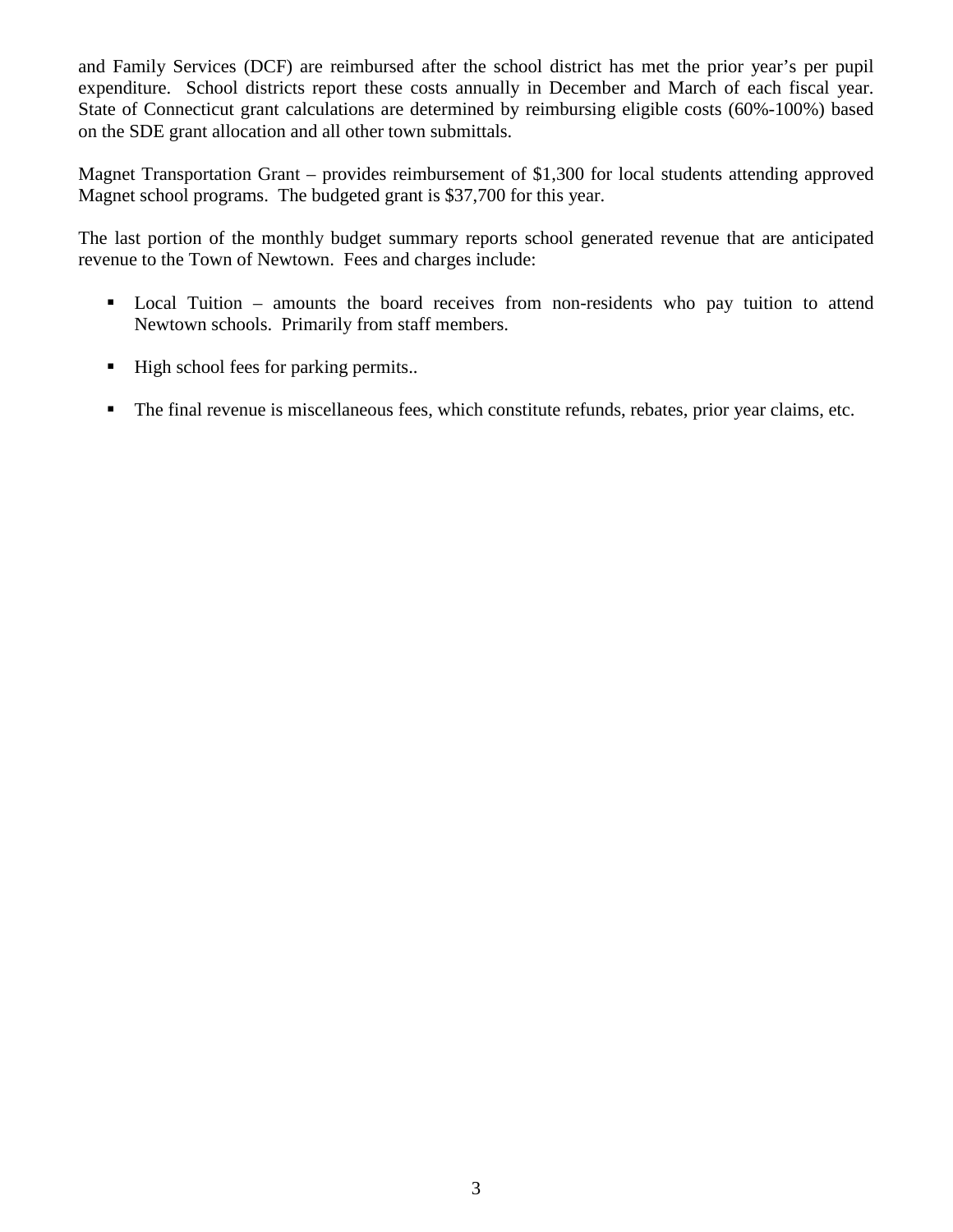and Family Services (DCF) are reimbursed after the school district has met the prior year's per pupil expenditure. School districts report these costs annually in December and March of each fiscal year. State of Connecticut grant calculations are determined by reimbursing eligible costs (60%-100%) based on the SDE grant allocation and all other town submittals.

Magnet Transportation Grant – provides reimbursement of \$1,300 for local students attending approved Magnet school programs. The budgeted grant is \$37,700 for this year.

The last portion of the monthly budget summary reports school generated revenue that are anticipated revenue to the Town of Newtown. Fees and charges include:

- **Local Tuition** amounts the board receives from non-residents who pay tuition to attend Newtown schools. Primarily from staff members.
- High school fees for parking permits..
- The final revenue is miscellaneous fees, which constitute refunds, rebates, prior year claims, etc.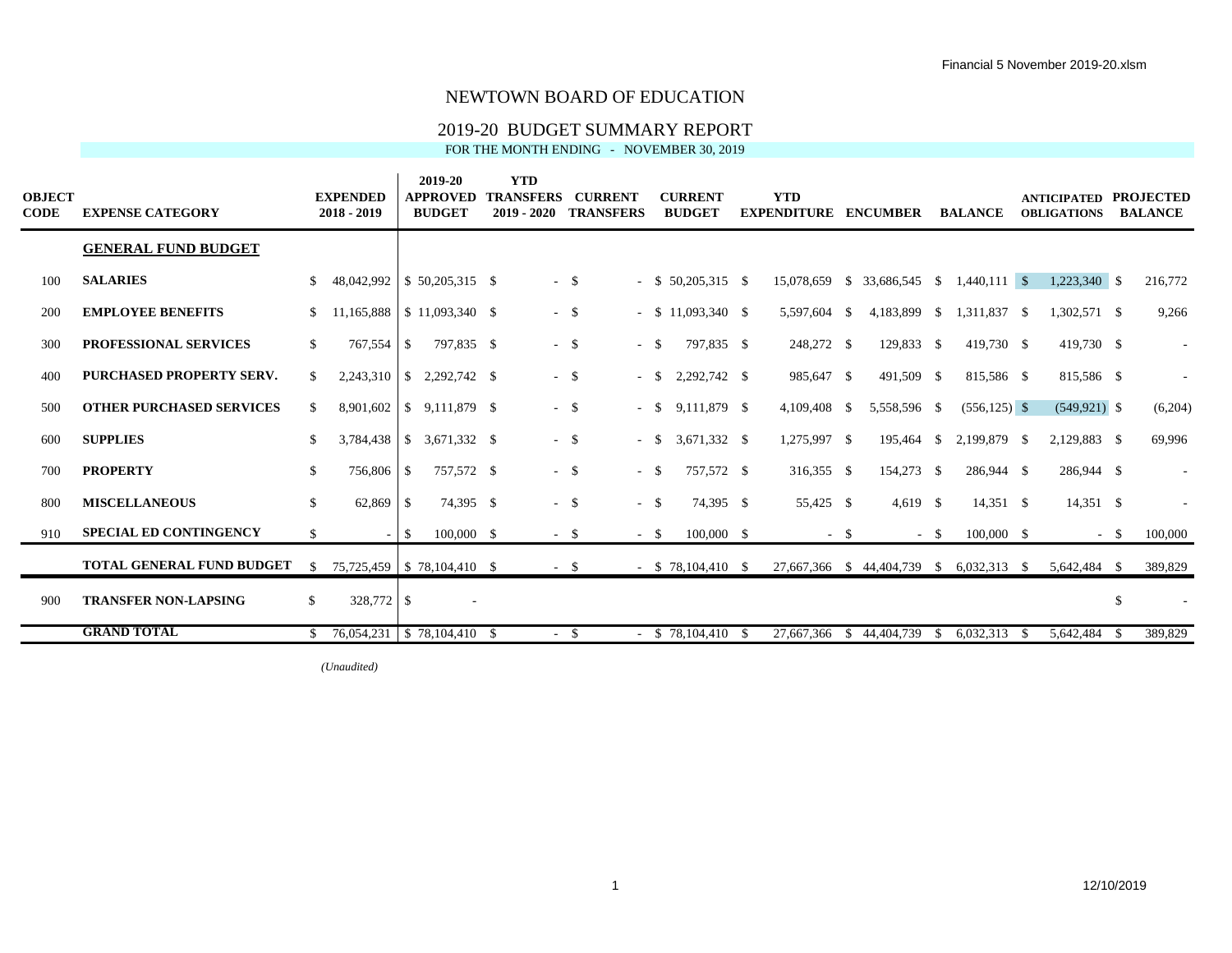#### 2019-20 BUDGET SUMMARY REPORT

FOR THE MONTH ENDING - NOVEMBER 30, 2019

| <b>OBJECT</b><br>CODE | <b>EXPENSE CATEGORY</b>          |              | <b>EXPENDED</b><br>$2018 - 2019$  |                    | 2019-20<br><b>APPROVED</b><br><b>BUDGET</b> | <b>YTD</b><br><b>TRANSFERS</b><br>$2019 - 2020$ |        | <b>CURRENT</b><br><b>TRANSFERS</b> |      | <b>CURRENT</b><br><b>BUDGET</b> | <b>YTD</b><br><b>EXPENDITURE</b> | <b>ENCUMBER</b>             |        | <b>BALANCE</b>  |    | <b>ANTICIPATED</b><br><b>OBLIGATIONS</b> |        | <b>PROJECTED</b><br><b>BALANCE</b> |
|-----------------------|----------------------------------|--------------|-----------------------------------|--------------------|---------------------------------------------|-------------------------------------------------|--------|------------------------------------|------|---------------------------------|----------------------------------|-----------------------------|--------|-----------------|----|------------------------------------------|--------|------------------------------------|
|                       | <b>GENERAL FUND BUDGET</b>       |              |                                   |                    |                                             |                                                 |        |                                    |      |                                 |                                  |                             |        |                 |    |                                          |        |                                    |
| 100                   | <b>SALARIES</b>                  | S.           | 48,042,992 \ \$ 50,205,315 \ \$   |                    |                                             |                                                 | $-$ \$ |                                    |      | $-$ \$ 50,205,315 \$            |                                  | 15,078,659 \$ 33,686,545 \$ |        | $1,440,111$ \$  |    | 1,223,340 \$                             |        | 216,772                            |
| 200                   | <b>EMPLOYEE BENEFITS</b>         | \$.          | 11,165,888                        |                    | $$11,093,340$ \\$                           |                                                 | $-$ \$ | $\sim$                             |      | $$11,093,340$ \\$               | 5,597,604 \$                     | 4,183,899 \$                |        | 1,311,837 \$    |    | 1,302,571 \$                             |        | 9,266                              |
| 300                   | <b>PROFESSIONAL SERVICES</b>     | \$           | 767,554 \$                        |                    | 797,835 \$                                  |                                                 | $-$ \$ | $\sim$                             | -S   | 797,835 \$                      | 248,272 \$                       | 129,833 \$                  |        | 419,730 \$      |    | 419,730 \$                               |        | $\sim$                             |
| 400                   | PURCHASED PROPERTY SERV.         | S.           |                                   |                    | 2,292,742 \$                                |                                                 | $-$ \$ |                                    |      | $-$ \$ 2,292,742 \$             | 985,647 \$                       | 491,509 \$                  |        | 815,586 \$      |    | 815,586 \$                               |        | $\sim$                             |
| 500                   | <b>OTHER PURCHASED SERVICES</b>  | S.           |                                   |                    | 8,901,602   \$ 9,111,879 \$                 |                                                 | $-$ \$ |                                    |      | $-$ \$ 9,111,879 \$             | $4,109,408$ \$                   | 5,558,596 \$                |        | $(556, 125)$ \$ |    | $(549, 921)$ \$                          |        | (6,204)                            |
| 600                   | <b>SUPPLIES</b>                  | \$           | 3,784,438                         | $\mathbf{\hat{s}}$ | 3,671,332 \$                                |                                                 | $-$ \$ |                                    | -S   | 3,671,332 \$                    | 1,275,997 \$                     | 195,464 \$                  |        | 2,199,879 \$    |    | 2,129,883 \$                             |        | 69,996                             |
| 700                   | <b>PROPERTY</b>                  | $\mathbb{S}$ | 756,806 \$                        |                    | 757,572 \$                                  |                                                 | $-$ \$ | $\sim$                             | -S   | 757,572 \$                      | 316,355 \$                       | 154,273 \$                  |        | 286,944 \$      |    | 286,944 \$                               |        |                                    |
| 800                   | <b>MISCELLANEOUS</b>             | $\mathbb{S}$ | 62,869                            | <sup>\$</sup>      | 74,395 \$                                   |                                                 | $-$ \$ | $\sim$ 10 $\pm$                    | - \$ | 74,395 \$                       | 55,425 \$                        | $4,619$ \$                  |        | 14,351 \$       |    | $14,351$ \$                              |        |                                    |
| 910                   | <b>SPECIAL ED CONTINGENCY</b>    | $\mathbb{S}$ |                                   | $-1S$              | 100,000 \$                                  |                                                 | $-$ \$ | $-$ \$                             |      | 100,000 \$                      | $-5$                             |                             | $-$ \$ | $100,000$ \$    |    |                                          | $-$ \$ | 100,000                            |
|                       | <b>TOTAL GENERAL FUND BUDGET</b> | S.           | 75,725,459 \ \ \$ 78,104,410 \ \$ |                    |                                             |                                                 | $-$ \$ |                                    |      | $-$ \$ 78,104,410 \$            |                                  | 27,667,366 \$44,404,739 \$  |        | $6,032,313$ \$  |    | 5,642,484 \$                             |        | 389,829                            |
| 900                   | <b>TRANSFER NON-LAPSING</b>      | $\mathbb{S}$ | 328,772 \$                        |                    | $\sim$                                      |                                                 |        |                                    |      |                                 |                                  |                             |        |                 |    |                                          | \$     |                                    |
|                       | <b>GRAND TOTAL</b>               |              | 76,054,231 \$ 78,104,410          |                    |                                             |                                                 | $-$ \$ |                                    |      | \$78,104,410                    | 27,667,366                       | \$44,404,739                | -S     | 6,032,313       | -S | 5.642.484                                | - S    | 389,829                            |

*(Unaudited)*  $\overline{S}$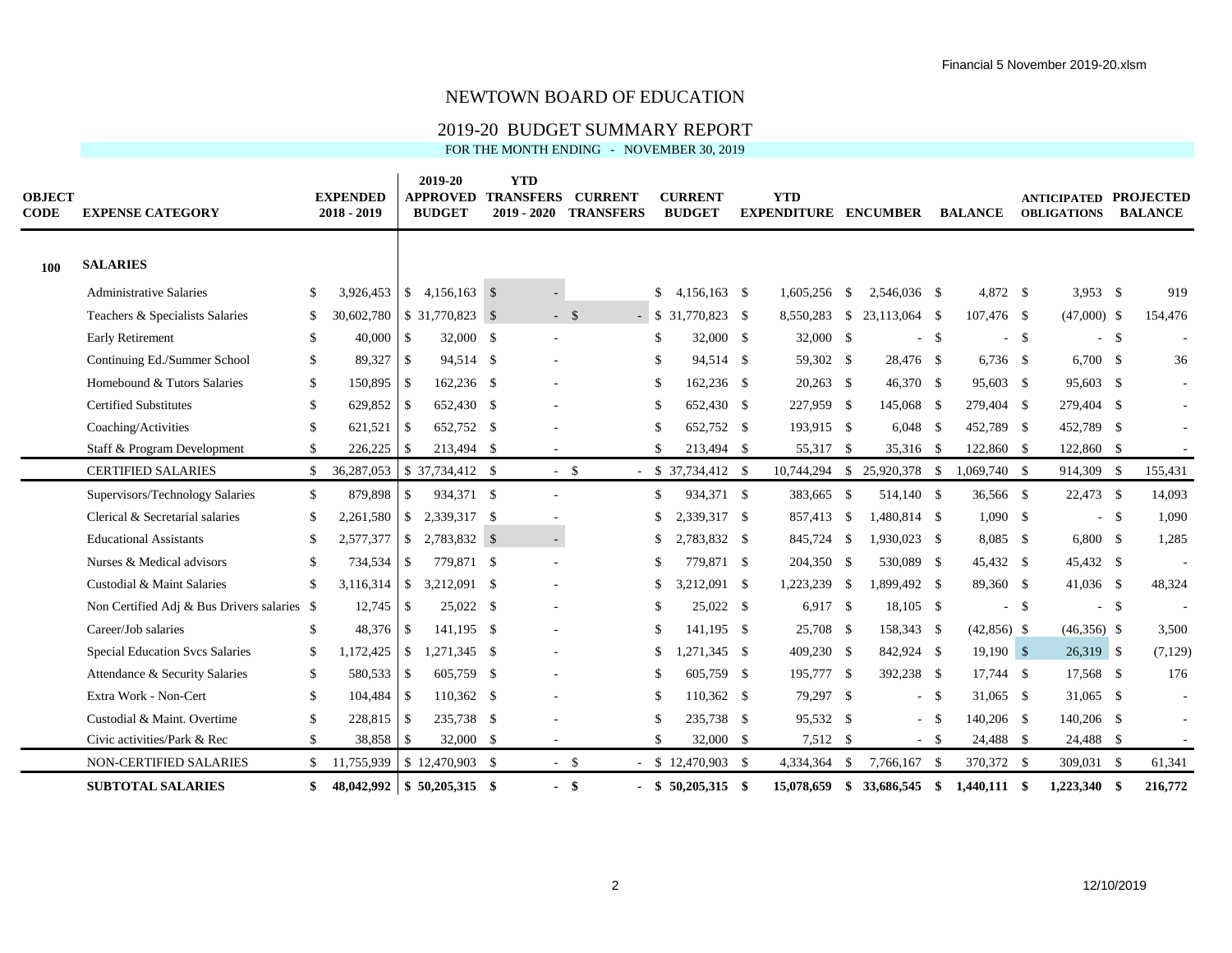#### 2019-20 BUDGET SUMMARY REPORT

| <b>OBJECT</b><br><b>CODE</b> | <b>EXPENSE CATEGORY</b>                         |               | <b>EXPENDED</b><br>2018 - 2019 |               | 2019-20<br><b>APPROVED</b><br><b>BUDGET</b> | <b>YTD</b><br><b>TRANSFERS</b><br>$2019 - 2020$ | <b>CURRENT</b><br><b>TRANSFERS</b> |               | <b>CURRENT</b><br><b>BUDGET</b> | <b>YTD</b><br><b>EXPENDITURE ENCUMBER</b> |      |                    |        | <b>BALANCE</b> |        | <b>ANTICIPATED PROJECTED</b><br><b>OBLIGATIONS</b> |        | <b>BALANCE</b>           |
|------------------------------|-------------------------------------------------|---------------|--------------------------------|---------------|---------------------------------------------|-------------------------------------------------|------------------------------------|---------------|---------------------------------|-------------------------------------------|------|--------------------|--------|----------------|--------|----------------------------------------------------|--------|--------------------------|
| 100                          | <b>SALARIES</b>                                 |               |                                |               |                                             |                                                 |                                    |               |                                 |                                           |      |                    |        |                |        |                                                    |        |                          |
|                              | <b>Administrative Salaries</b>                  | <sup>\$</sup> | 3.926.453                      |               |                                             | н.                                              |                                    | S.            | $4.156.163$ \$                  | $1.605.256$ \$                            |      | 2.546.036 \$       |        | 4,872 \$       |        | 3,953 $\sqrt{3}$                                   |        | 919                      |
|                              | Teachers & Specialists Salaries                 | \$            | 30,602,780                     |               |                                             |                                                 | $-$ \$                             |               | $-$ \$ 31,770,823 \$            | 8,550,283                                 |      | $$23,113,064$ \ \$ |        | 107,476 \$     |        | $(47,000)$ \$                                      |        | 154,476                  |
|                              | Early Retirement                                | S             | $40,000$ \$                    |               | 32,000 \$                                   | $\blacksquare$                                  |                                    | £.            | 32,000 \$                       | 32,000 \$                                 |      | $\sim$             | - \$   |                | $-$ \$ |                                                    | $-$ \$ |                          |
|                              | Continuing Ed./Summer School                    | \$            | 89,327 \$                      |               | 94,514 \$                                   | ÷,                                              |                                    | <sup>\$</sup> | 94,514 \$                       | 59,302 \$                                 |      | 28,476 \$          |        | $6,736$ \$     |        | $6,700$ \$                                         |        | 36                       |
|                              | Homebound & Tutors Salaries                     | <sup>\$</sup> | 150,895 \$                     |               | 162,236 \$                                  |                                                 |                                    | -S            | 162,236 \$                      | $20,263$ \$                               |      | 46,370 \$          |        | 95,603 \$      |        | 95,603 \$                                          |        | $\sim$                   |
|                              | <b>Certified Substitutes</b>                    | <sup>\$</sup> | 629,852 \$                     |               | 652,430 \$                                  |                                                 |                                    | -S            | 652,430 \$                      | 227,959 \$                                |      | 145,068 \$         |        | 279,404 \$     |        | 279,404 \$                                         |        | $\overline{\phantom{0}}$ |
|                              | Coaching/Activities                             | <sup>\$</sup> | $621,521$ \$                   |               | 652,752 \$                                  |                                                 |                                    | <sup>\$</sup> | 652,752 \$                      | 193,915 \$                                |      | $6,048$ \$         |        | 452,789 \$     |        | 452,789 \$                                         |        | $\sim$                   |
|                              | Staff & Program Development                     | \$            | 226,225                        | -S            | 213,494 \$                                  |                                                 |                                    | .S            | 213,494 \$                      | 55,317 \$                                 |      | 35,316 \$          |        | 122,860 \$     |        | 122,860 \$                                         |        |                          |
|                              | <b>CERTIFIED SALARIES</b>                       | S.            | 36,287,053                     |               | \$ 37,734,412 \$                            |                                                 | $-$ \$                             |               | $-$ \$ 37,734,412 \$            | 10,744,294 \$                             |      | 25,920,378 \$      |        | 1,069,740 \$   |        | 914,309 \$                                         |        | 155,431                  |
|                              | Supervisors/Technology Salaries                 | $\mathbb{S}$  | 879,898                        | $\mathcal{S}$ | 934,371 \$                                  | $\sim$                                          |                                    | $\mathbb{S}$  | 934,371 \$                      | 383,665 \$                                |      | 514,140 \$         |        | 36,566 \$      |        | 22,473 \$                                          |        | 14,093                   |
|                              | Clerical & Secretarial salaries                 | S             | 2,261,580                      |               |                                             | $\overline{\phantom{a}}$                        |                                    | S             | 2,339,317 \$                    | 857,413 \$                                |      | 1,480,814 \$       |        | $1,090$ \$     |        |                                                    | $-$ \$ | 1,090                    |
|                              | <b>Educational Assistants</b>                   | <sup>\$</sup> | 2,577,377                      | $\mathbb{S}$  | 2,783,832 \$                                | $\sim$                                          |                                    | -S            | 2,783,832 \$                    | 845,724 \$                                |      | 1,930,023 \$       |        | 8,085 \$       |        | $6,800$ \$                                         |        | 1,285                    |
|                              | Nurses & Medical advisors                       | S             | 734,534                        | $\mathcal{S}$ | 779,871 \$                                  |                                                 |                                    | -S            | 779,871 \$                      | 204,350 \$                                |      | 530,089 \$         |        | 45,432 \$      |        | 45,432 \$                                          |        |                          |
|                              | Custodial & Maint Salaries                      | -S            | 3,116,314                      | $\mathbb{S}$  | 3,212,091 \$                                |                                                 |                                    | -S            | 3,212,091 \$                    | 1,223,239 \$                              |      | 1,899,492 \$       |        | 89,360 \$      |        | 41,036 \$                                          |        | 48,324                   |
|                              | Non Certified Adj $& Bus$ Drivers salaries $\$$ |               | 12,745                         | $\sqrt{3}$    | 25,022 \$                                   |                                                 |                                    | -S            | 25,022 \$                       | $6,917$ \$                                |      | 18,105 \$          |        |                | $-$ \$ |                                                    | $-$ \$ | ٠.                       |
|                              | Career/Job salaries                             | \$            | 48,376 \$                      |               | 141,195 \$                                  |                                                 |                                    | -S            | 141,195 \$                      | 25,708 \$                                 |      | 158,343 \$         |        | $(42,856)$ \$  |        | $(46,356)$ \$                                      |        | 3,500                    |
|                              | <b>Special Education Svcs Salaries</b>          | \$            | 1,172,425                      | $\mathbb{S}$  | 1,271,345 \$                                |                                                 |                                    | <sup>\$</sup> | 1,271,345 \$                    | 409,230 \$                                |      | 842,924 \$         |        | $19,190$ \$    |        | 26,319 \$                                          |        | (7, 129)                 |
|                              | Attendance & Security Salaries                  | <sup>\$</sup> | 580,533 \$                     |               | 605,759 \$                                  |                                                 |                                    | -S            | 605,759 \$                      | 195,777 \$                                |      | 392,238 \$         |        | $17,744$ \$    |        | 17,568 \$                                          |        | 176                      |
|                              | Extra Work - Non-Cert                           | <sup>\$</sup> | 104,484 \$                     |               | $110,362$ \$                                |                                                 |                                    | -S            | 110,362 \$                      | 79,297 \$                                 |      |                    | $-$ \$ | 31,065 \$      |        | 31,065 \$                                          |        |                          |
|                              | Custodial & Maint. Overtime                     | -S            | 228,815 \$                     |               | 235,738 \$                                  |                                                 |                                    | -S            | 235,738 \$                      | 95,532 \$                                 |      | $\sim$             | -S     | 140,206 \$     |        | 140,206 \$                                         |        |                          |
|                              | Civic activities/Park & Rec                     | <sup>\$</sup> | 38,858                         | -\$           | 32,000 \$                                   | $\sim$                                          |                                    | <sup>\$</sup> | 32,000 \$                       | 7,512 \$                                  |      |                    | $-$ \$ | 24,488 \$      |        | 24,488 \$                                          |        | $\sim$                   |
|                              | NON-CERTIFIED SALARIES                          |               | \$11,755,939                   |               | $$12,470,903$ \;                            |                                                 | $-$ \$                             |               | $$12,470,903$ \;                | 4,334,364 \$                              |      | 7,766,167 \$       |        | 370,372 \$     |        | 309,031 \$                                         |        | 61,341                   |
|                              | <b>SUBTOTAL SALARIES</b>                        | \$            | 48,042,992                     |               | $$50,205,315$ \$                            |                                                 | $-$ \$                             |               | $$50,205,315$ \$                | 15,078,659                                | - \$ | 33,686,545 \$      |        | $1,440,111$ \$ |        | 1.223.340 \$                                       |        | 216,772                  |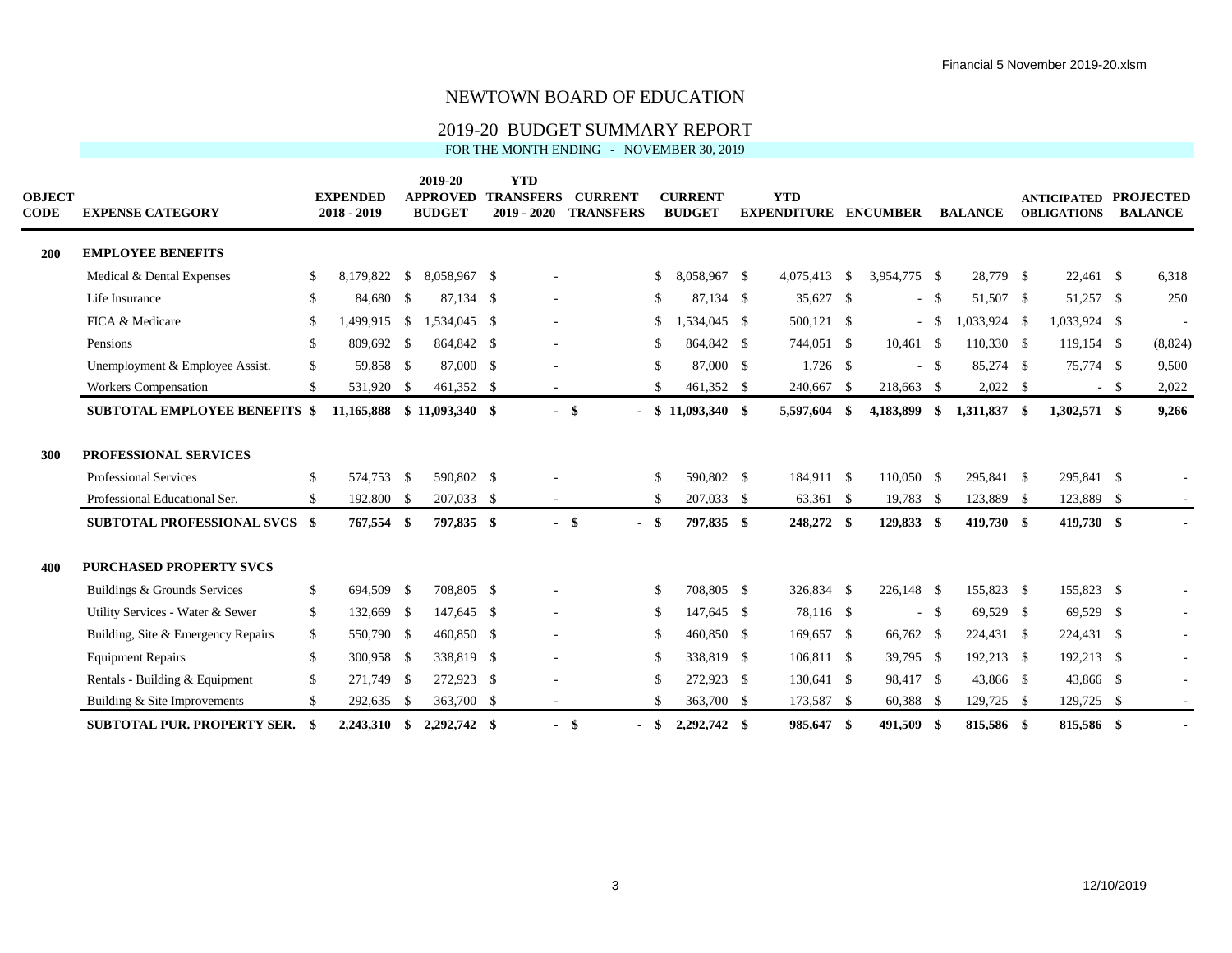#### 2019-20 BUDGET SUMMARY REPORT

| OBJECT<br>CODE | <b>EXPENSE CATEGORY</b>                                                                                                               |                                | <b>EXPENDED</b><br>2018 - 2019         |               | 2019-20<br><b>APPROVED</b><br><b>BUDGET</b> | <b>YTD</b><br><b>TRANSFERS</b><br>$2019 - 2020$ |      | <b>CURRENT</b><br><b>TRANSFERS</b> |                                        | <b>CURRENT</b><br><b>BUDGET</b>        | <b>YTD</b><br><b>EXPENDITURE ENCUMBER</b> |      |                                       |        | <b>BALANCE</b>                         | <b>ANTICIPATED</b><br><b>OBLIGATIONS</b> |        | <b>PROJECTED</b><br><b>BALANCE</b> |
|----------------|---------------------------------------------------------------------------------------------------------------------------------------|--------------------------------|----------------------------------------|---------------|---------------------------------------------|-------------------------------------------------|------|------------------------------------|----------------------------------------|----------------------------------------|-------------------------------------------|------|---------------------------------------|--------|----------------------------------------|------------------------------------------|--------|------------------------------------|
| <b>200</b>     | <b>EMPLOYEE BENEFITS</b>                                                                                                              |                                |                                        |               |                                             |                                                 |      |                                    |                                        |                                        |                                           |      |                                       |        |                                        |                                          |        |                                    |
|                | Medical & Dental Expenses                                                                                                             | \$                             | 8,179,822                              | $\mathcal{S}$ | 8.058.967 \$                                |                                                 |      |                                    | S.                                     | 8,058,967 \$                           | 4,075,413                                 | \$   | 3,954,775 \$                          |        | 28.779 \$                              | 22,461 \$                                |        | 6,318                              |
|                | Life Insurance                                                                                                                        | <sup>\$</sup>                  | 84,680 \$                              |               | 87,134 \$                                   |                                                 |      |                                    | \$                                     | 87,134 \$                              | 35,627 \$                                 |      | $\sim$                                | -\$    | 51,507 \$                              | 51,257 \$                                |        | 250                                |
|                | FICA & Medicare                                                                                                                       | <sup>\$</sup>                  | ,499,915                               | \$            | 1,534,045 \$                                |                                                 |      |                                    | \$                                     | 1,534,045 \$                           | 500,121 \$                                |      | $\sim$                                | -S     | 1,033,924 \$                           | 1,033,924 \$                             |        |                                    |
|                | Pensions                                                                                                                              | <sup>\$</sup>                  | 809,692 \$                             |               | 864,842 \$                                  |                                                 |      |                                    | <sup>\$</sup>                          | 864,842 \$                             | 744,051 \$                                |      | $10.461 \quad$ \$                     |        | 110,330 \$                             | 119,154 \$                               |        | (8,824)                            |
|                | Unemployment & Employee Assist.                                                                                                       | \$                             | 59,858 \$                              |               | 87,000 \$                                   |                                                 |      |                                    | \$                                     | 87,000 \$                              | $1,726$ \$                                |      | $\sim$                                | -\$    | 85,274 \$                              | 75,774 \$                                |        | 9,500                              |
|                | <b>Workers Compensation</b>                                                                                                           | \$                             | 531,920 \$                             |               | 461,352 \$                                  |                                                 |      |                                    | \$                                     | 461,352 \$                             | 240,667                                   | - \$ | 218,663 \$                            |        | $2,022$ \$                             |                                          | $-$ \$ | 2,022                              |
|                | <b>SUBTOTAL EMPLOYEE BENEFITS \$</b>                                                                                                  |                                | 11,165,888                             |               | $$11,093,340$ \, \$                         |                                                 | - \$ |                                    |                                        | $$11,093,340$ \, \$                    | 5,597,604 \$                              |      | 4,183,899                             | \$     | 1,311,837 \$                           | $1,302,571$ \$                           |        | 9,266                              |
| 300            | <b>PROFESSIONAL SERVICES</b><br><b>Professional Services</b><br>Professional Educational Ser.<br><b>SUBTOTAL PROFESSIONAL SVCS \$</b> | <sup>\$</sup><br><sup>\$</sup> | 574,753 \$<br>192,800 \$<br>767,554 \$ |               | 590,802 \$<br>207,033 \$<br>797,835 \$      | Ξ.                                              | - \$ |                                    | <sup>\$</sup><br><sup>\$</sup><br>- \$ | 590,802 \$<br>207,033 \$<br>797,835 \$ | 184,911 \$<br>63,361 \$<br>248,272 \$     |      | 110,050 \$<br>19,783 \$<br>129,833 \$ |        | 295,841 \$<br>123,889 \$<br>419,730 \$ | 295,841 \$<br>123,889 \$<br>419,730 \$   |        |                                    |
| 400            | <b>PURCHASED PROPERTY SVCS</b>                                                                                                        |                                |                                        |               |                                             |                                                 |      |                                    |                                        |                                        |                                           |      |                                       |        |                                        |                                          |        |                                    |
|                | Buildings & Grounds Services                                                                                                          | \$                             | 694,509 \$                             |               | 708.805 \$                                  |                                                 |      |                                    | \$                                     | 708,805 \$                             | 326,834 \$                                |      | 226,148 \$                            |        | 155,823 \$                             | 155,823 \$                               |        |                                    |
|                | Utility Services - Water & Sewer                                                                                                      | \$                             | 132,669 \$                             |               | 147,645 \$                                  |                                                 |      |                                    | \$                                     | 147,645 \$                             | 78,116 \$                                 |      |                                       | $-$ \$ | 69,529 \$                              | 69,529 \$                                |        | $\sim$                             |
|                | Building, Site & Emergency Repairs                                                                                                    | $\mathbb{S}$                   | 550,790 \$                             |               | 460,850 \$                                  |                                                 |      |                                    | \$                                     | 460,850 \$                             | 169,657 \$                                |      | 66,762 \$                             |        | 224,431 \$                             | 224,431 \$                               |        | $\sim$                             |
|                | <b>Equipment Repairs</b>                                                                                                              | $\mathbb{S}$                   | 300,958 \$                             |               | 338,819 \$                                  |                                                 |      |                                    | \$                                     | 338,819 \$                             | 106,811 \$                                |      | 39,795 \$                             |        | 192,213 \$                             | 192,213 \$                               |        | $\sim$                             |
|                | Rentals - Building & Equipment                                                                                                        | <sup>\$</sup>                  | 271,749 \$                             |               | 272,923 \$                                  |                                                 |      |                                    | \$                                     | 272,923 \$                             | 130,641 \$                                |      | 98,417 \$                             |        | 43,866 \$                              | 43,866 \$                                |        | $\sim$                             |
|                | Building & Site Improvements                                                                                                          | <sup>\$</sup>                  | 292,635 \$                             |               | 363,700 \$                                  |                                                 |      |                                    | \$                                     | 363,700 \$                             | 173,587 \$                                |      | 60,388 \$                             |        | 129,725 \$                             | 129,725 \$                               |        | $\sim$                             |
|                | SUBTOTAL PUR. PROPERTY SER.                                                                                                           |                                |                                        |               | 2.292.742 \$                                |                                                 | - \$ |                                    | S.                                     | 2.292.742 \$                           | 985.647                                   | - \$ | 491.509                               | -\$    | 815.586 \$                             | 815.586 \$                               |        |                                    |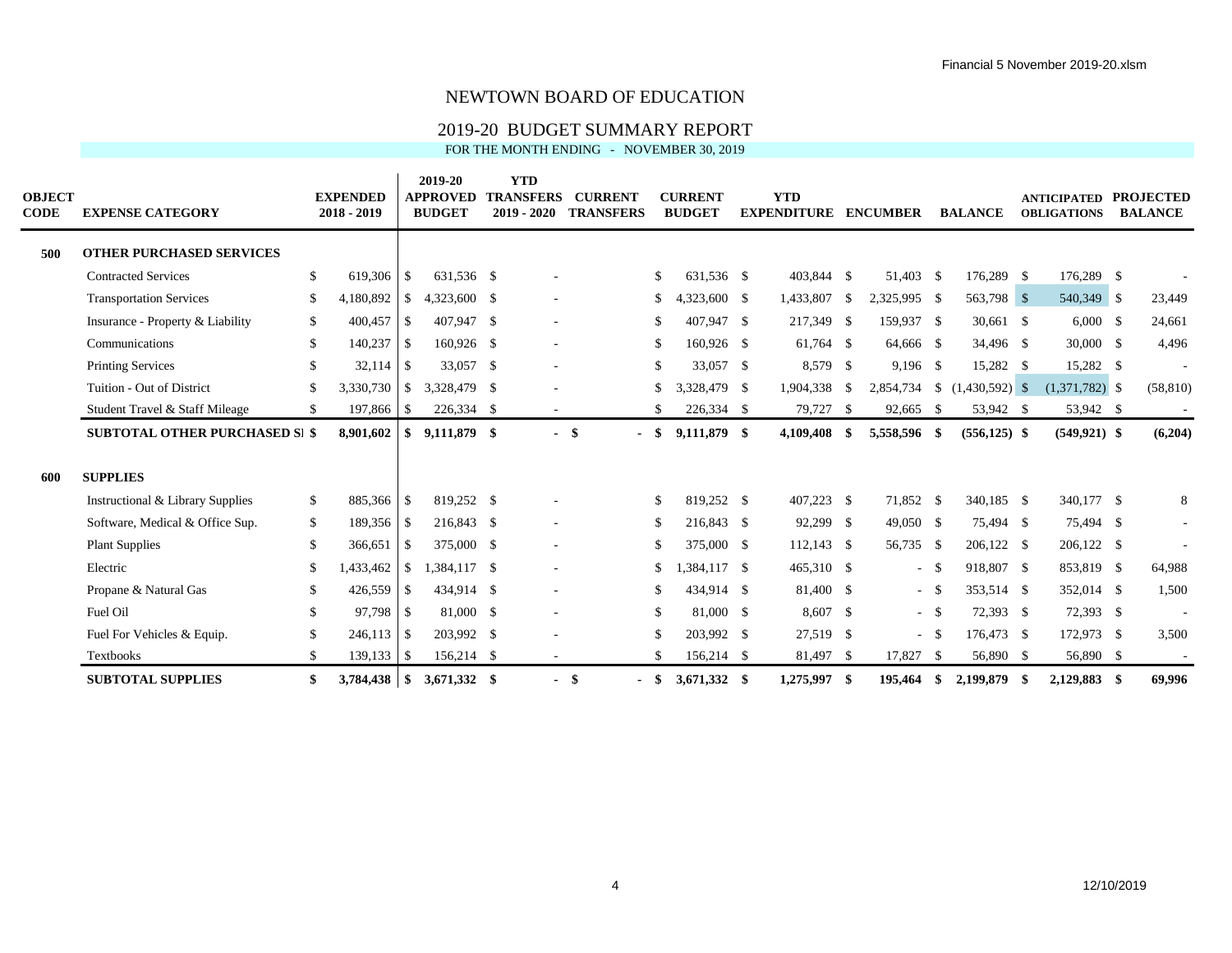#### 2019-20 BUDGET SUMMARY REPORT

| OBJECT<br>CODE | <b>EXPENSE CATEGORY</b>               |               | <b>EXPENDED</b><br>2018 - 2019 |                          | 2019-20<br><b>APPROVED</b><br><b>BUDGET</b> | <b>YTD</b><br><b>TRANSFERS</b><br>$2019 - 2020$ | <b>CURRENT</b><br><b>TRANSFERS</b> |               | <b>CURRENT</b><br><b>BUDGET</b> | <b>YTD</b><br><b>EXPENDITURE</b> |          | <b>ENCUMBER</b> |      | <b>BALANCE</b>              |     | <b>ANTICIPATED</b><br><b>OBLIGATIONS</b> | <b>PROJECTED</b><br><b>BALANCE</b> |
|----------------|---------------------------------------|---------------|--------------------------------|--------------------------|---------------------------------------------|-------------------------------------------------|------------------------------------|---------------|---------------------------------|----------------------------------|----------|-----------------|------|-----------------------------|-----|------------------------------------------|------------------------------------|
| 500            | <b>OTHER PURCHASED SERVICES</b>       |               |                                |                          |                                             |                                                 |                                    |               |                                 |                                  |          |                 |      |                             |     |                                          |                                    |
|                | <b>Contracted Services</b>            | <sup>\$</sup> | 619,306 \$                     |                          | 631,536 \$                                  |                                                 |                                    | \$            | 631,536 \$                      | 403,844 \$                       |          | 51,403 \$       |      | 176,289 \$                  |     | 176,289 \$                               |                                    |
|                | <b>Transportation Services</b>        | \$            | 1.180,892                      | $\mathbb{S}$             | 4,323,600 \$                                |                                                 |                                    | \$            | 4,323,600 \$                    | 1,433,807                        | -\$      | 2,325,995 \$    |      | 563,798 \$                  |     | 540,349 \$                               | 23,449                             |
|                | Insurance - Property & Liability      | \$            | 400,457                        | $\vert$ \$               | 407,947 \$                                  |                                                 |                                    | \$            | 407,947 \$                      | 217,349 \$                       |          | 159,937 \$      |      | 30,661 \$                   |     | $6,000$ \$                               | 24,661                             |
|                | Communications                        | <sup>\$</sup> | 140,237                        | $\overline{\phantom{a}}$ | 160,926 \$                                  |                                                 |                                    | <sup>\$</sup> | 160.926 \$                      | 61,764 \$                        |          | 64,666 \$       |      | 34,496 \$                   |     | 30,000 \$                                | 4,496                              |
|                | <b>Printing Services</b>              | S.            | $32,114$ \\$                   |                          | 33,057 \$                                   |                                                 |                                    | \$            | 33,057 \$                       | 8,579 \$                         |          | $9,196$ \$      |      | 15,282 \$                   |     | 15,282 \$                                |                                    |
|                | Tuition - Out of District             | <sup>\$</sup> | 3,330,730                      | $\mathcal{S}$            | 3,328,479 \$                                |                                                 |                                    | \$            | 3,328,479 \$                    | 1,904,338                        | - \$     |                 |      | 2,854,734 \$ (1,430,592) \$ |     | $(1,371,782)$ \$                         | (58, 810)                          |
|                | Student Travel & Staff Mileage        | \$.           | 197,866 \$                     |                          | 226,334 \$                                  | $\sim$                                          |                                    | \$.           | 226,334 \$                      | 79,727                           | <b>S</b> | 92,665          | - \$ | 53,942 \$                   |     | 53,942 \$                                |                                    |
|                | <b>SUBTOTAL OTHER PURCHASED SI \$</b> |               | 8,901,602                      | SS.                      | 9,111,879 \$                                | - \$                                            | $\sim$                             | SS.           | 9,111,879 \$                    | 4,109,408                        | -\$      | 5,558,596 \$    |      | $(556, 125)$ \$             |     | $(549.921)$ \$                           | (6,204)                            |
| 600            | <b>SUPPLIES</b>                       |               |                                |                          |                                             |                                                 |                                    |               |                                 |                                  |          |                 |      |                             |     |                                          |                                    |
|                | Instructional & Library Supplies      | $\mathbb{S}$  | 885,366 \$                     |                          | 819,252 \$                                  |                                                 |                                    | \$            | 819,252 \$                      | $407,223$ \$                     |          | 71,852 \$       |      | 340,185 \$                  |     | 340,177 \$                               | 8                                  |
|                | Software, Medical & Office Sup.       | \$            | 189,356 \$                     |                          | 216,843 \$                                  |                                                 |                                    | \$            | 216,843 \$                      | 92,299 \$                        |          | 49,050 \$       |      | 75,494 \$                   |     | 75,494 \$                                | $\sim$                             |
|                | <b>Plant Supplies</b>                 | S.            | 366,651                        | $\vert$ \$               | 375,000 \$                                  | ٠                                               |                                    | \$            | 375,000 \$                      | $112,143$ \$                     |          | 56,735          | - \$ | 206,122 \$                  |     | 206,122 \$                               | $\overline{\phantom{a}}$           |
|                | Electric                              | S             | ,433,462                       | \$                       | 1,384,117 \$                                | ۰                                               |                                    | \$            | 1,384,117 \$                    | 465,310 \$                       |          | $\sim$          | -S   | 918,807 \$                  |     | 853,819 \$                               | 64,988                             |
|                | Propane & Natural Gas                 | <sup>\$</sup> | $426,559$ \$                   |                          | 434,914 \$                                  |                                                 |                                    | \$            | 434,914 \$                      | 81,400 \$                        |          | $\sim$          | -\$  | 353,514 \$                  |     | 352,014 \$                               | 1,500                              |
|                | Fuel Oil                              | <sup>\$</sup> | 97,798 \$                      |                          | 81,000 \$                                   | -                                               |                                    | \$            | 81,000 \$                       | 8,607 \$                         |          |                 | - \$ | 72,393 \$                   |     | $72,393$ \$                              | $\overline{\phantom{a}}$           |
|                | Fuel For Vehicles & Equip.            | <sup>\$</sup> | $246,113$ \$                   |                          | 203,992 \$                                  |                                                 |                                    | \$            | 203,992 \$                      | 27,519 \$                        |          | $\sim$          | -S   | 176,473 \$                  |     | 172,973 \$                               | 3,500                              |
|                | <b>Textbooks</b>                      | -S            | $139, 133$ \$                  |                          | 156,214 \$                                  | ٠                                               |                                    | \$            | 156,214 \$                      | 81,497                           | - \$     | 17,827          | - \$ | 56,890 \$                   |     | 56,890 \$                                | $\overline{\phantom{a}}$           |
|                | <b>SUBTOTAL SUPPLIES</b>              |               |                                |                          | 3.671.332 \$                                | $\blacksquare$                                  | -\$                                | S.            | 3,671,332 \$                    | 1,275,997                        | -\$      | 195,464         | -S   | 2,199,879                   | -\$ | 2.129.883 \$                             | 69,996                             |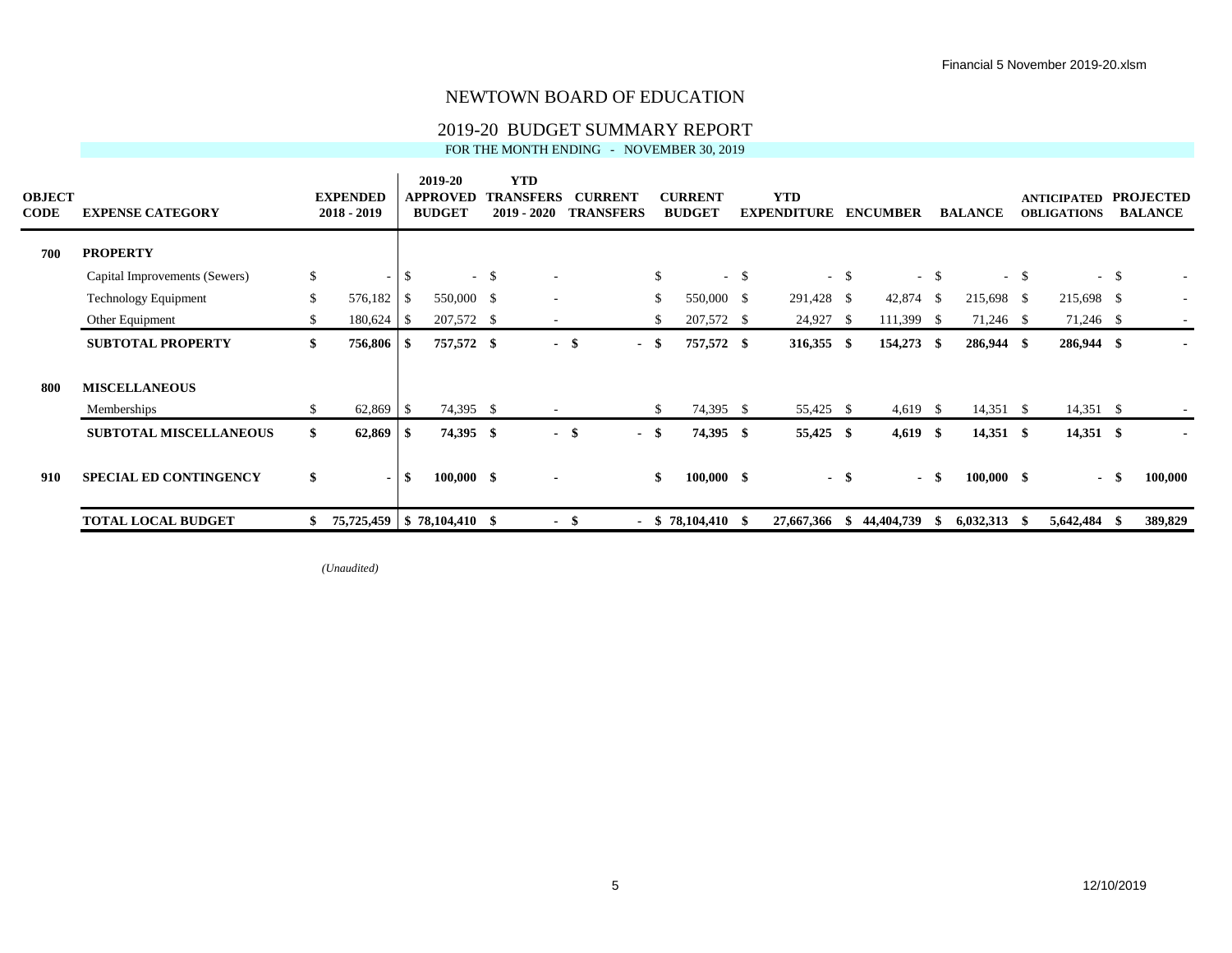#### 2019-20 BUDGET SUMMARY REPORT

FOR THE MONTH ENDING - NOVEMBER 30, 2019

| OBJECT<br>CODE | <b>EXPENSE CATEGORY</b>       |               | <b>EXPENDED</b><br>2018 - 2019 |                          | 2019-20<br><b>APPROVED</b><br><b>BUDGET</b> |        | <b>YTD</b><br>TRANSFERS<br>$2019 - 2020$ |     | <b>CURRENT</b><br><b>TRANSFERS</b> |      | <b>CURRENT</b><br><b>BUDGET</b> | <b>YTD</b><br><b>EXPENDITURE</b> |        | <b>ENCUMBER</b> |              | <b>BALANCE</b> |        | <b>ANTICIPATED</b><br><b>OBLIGATIONS</b> |        | <b>PROJECTED</b><br><b>BALANCE</b> |
|----------------|-------------------------------|---------------|--------------------------------|--------------------------|---------------------------------------------|--------|------------------------------------------|-----|------------------------------------|------|---------------------------------|----------------------------------|--------|-----------------|--------------|----------------|--------|------------------------------------------|--------|------------------------------------|
| 700            | <b>PROPERTY</b>               |               |                                |                          |                                             |        |                                          |     |                                    |      |                                 |                                  |        |                 |              |                |        |                                          |        |                                    |
|                | Capital Improvements (Sewers) | \$            |                                | -\$                      |                                             | $-$ \$ |                                          |     |                                    | \$   | $-$ \$                          |                                  | $-$ \$ | $\sim$          | -S           |                | $-$ \$ |                                          | $-$ \$ |                                    |
|                | <b>Technology Equipment</b>   | <sup>\$</sup> | 576,182                        | $\overline{\phantom{a}}$ | 550,000 \$                                  |        |                                          |     |                                    | S.   | 550,000 \$                      | 291,428 \$                       |        | 42,874          | $\mathbf{s}$ | 215,698 \$     |        | 215,698 \$                               |        |                                    |
|                | Other Equipment               | \$            | $180,624$ \$                   |                          | 207,572 \$                                  |        |                                          |     |                                    | S.   | 207,572 \$                      | 24,927                           | - S    | 111,399         | - \$         | 71,246 \$      |        | 71,246 \$                                |        |                                    |
|                | <b>SUBTOTAL PROPERTY</b>      | \$            | 756,806 \$                     |                          | 757,572 \$                                  |        | $\sim$                                   | -\$ | $\blacksquare$                     | - \$ | 757,572 \$                      | $316,355$ \$                     |        | 154,273 \$      |              | 286,944 \$     |        | 286,944 \$                               |        | $\blacksquare$                     |
| 800            | <b>MISCELLANEOUS</b>          |               |                                |                          |                                             |        |                                          |     |                                    |      |                                 |                                  |        |                 |              |                |        |                                          |        |                                    |
|                | Memberships                   | S.            |                                |                          | 74,395 \$                                   |        |                                          |     |                                    | \$   | 74,395 \$                       | 55,425 \$                        |        | 4,619           | - \$         | $14,351$ \$    |        | $14,351$ \$                              |        | $\sim$                             |
|                | <b>SUBTOTAL MISCELLANEOUS</b> | \$            | 62,869                         | -\$                      | 74,395 \$                                   |        | $\overline{\phantom{0}}$                 | -\$ | $\sim$                             | - \$ | 74,395 \$                       | 55,425 \$                        |        | 4,619           | \$           | $14,351$ \$    |        | $14,351$ \$                              |        | $\blacksquare$                     |
| 910            | <b>SPECIAL ED CONTINGENCY</b> | \$            |                                | -\$                      | $100,000$ \$                                |        | $\blacksquare$                           |     |                                    | \$   | $100,000$ \$                    |                                  | - \$   | $\blacksquare$  | -SS          | $100,000$ \$   |        | - \$                                     |        | 100,000                            |
|                | <b>TOTAL LOCAL BUDGET</b>     |               |                                |                          | 75,725,459   \$78,104,410 \$                |        | $\sim$                                   | -8  | $\sim$                             |      | $$78,104,410$ \$                | 27,667,366                       | SS.    | 44,404,739      | -S           | $6,032,313$ \$ |        | 5,642,484                                |        | 389,829                            |

*(Unaudited)*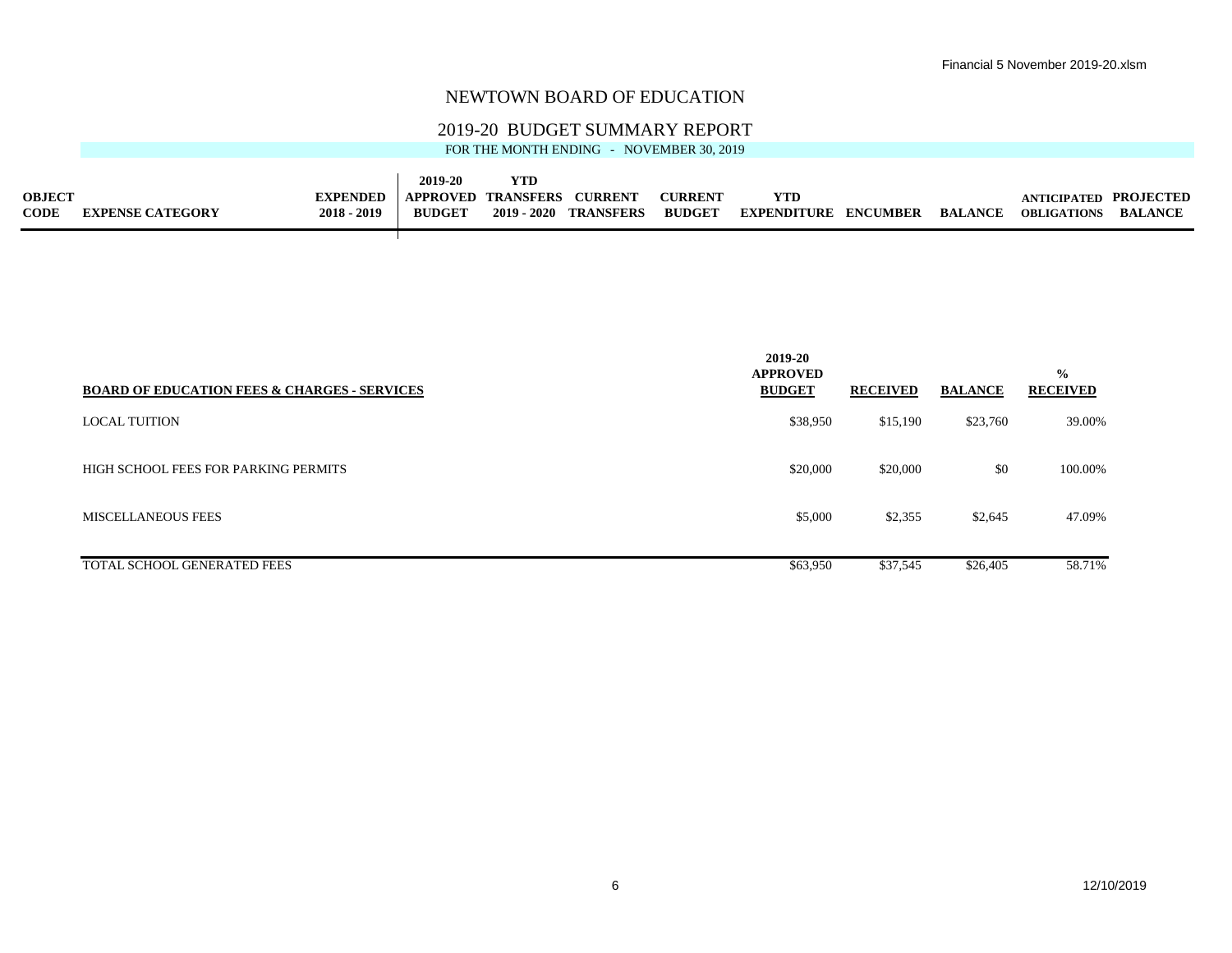#### 2019-20 BUDGET SUMMARY REPORT

|               |                         |                 | 2019-20       | YTD                        |                       |                |                             |                |                       |                |
|---------------|-------------------------|-----------------|---------------|----------------------------|-----------------------|----------------|-----------------------------|----------------|-----------------------|----------------|
| <b>OBJECT</b> |                         | <b>EXPENDED</b> |               | APPROVED TRANSFERS CURRENT |                       | <b>CURRENT</b> | YTD                         |                | ANTICIPATED PROJECTED |                |
| <b>CODE</b>   | <b>EXPENSE CATEGORY</b> | $2018 - 2019$   | <b>BUDGET</b> |                            | 2019 - 2020 TRANSFERS | <b>BUDGET</b>  | <b>EXPENDITURE ENCUMBER</b> | <b>BALANCE</b> | <b>OBLIGATIONS</b>    | <b>BALANCE</b> |
|               |                         |                 |               |                            |                       |                |                             |                |                       |                |

| <b>BOARD OF EDUCATION FEES &amp; CHARGES - SERVICES</b> | 2019-20<br><b>APPROVED</b><br><b>BUDGET</b> | <b>RECEIVED</b> | <b>BALANCE</b> | $\frac{6}{9}$<br><b>RECEIVED</b> |
|---------------------------------------------------------|---------------------------------------------|-----------------|----------------|----------------------------------|
| <b>LOCAL TUITION</b>                                    | \$38,950                                    | \$15,190        | \$23,760       | 39.00%                           |
| HIGH SCHOOL FEES FOR PARKING PERMITS                    | \$20,000                                    | \$20,000        | \$0            | 100.00%                          |
| <b>MISCELLANEOUS FEES</b>                               | \$5,000                                     | \$2,355         | \$2,645        | 47.09%                           |
| TOTAL SCHOOL GENERATED FEES                             | \$63,950                                    | \$37,545        | \$26,405       | 58.71%                           |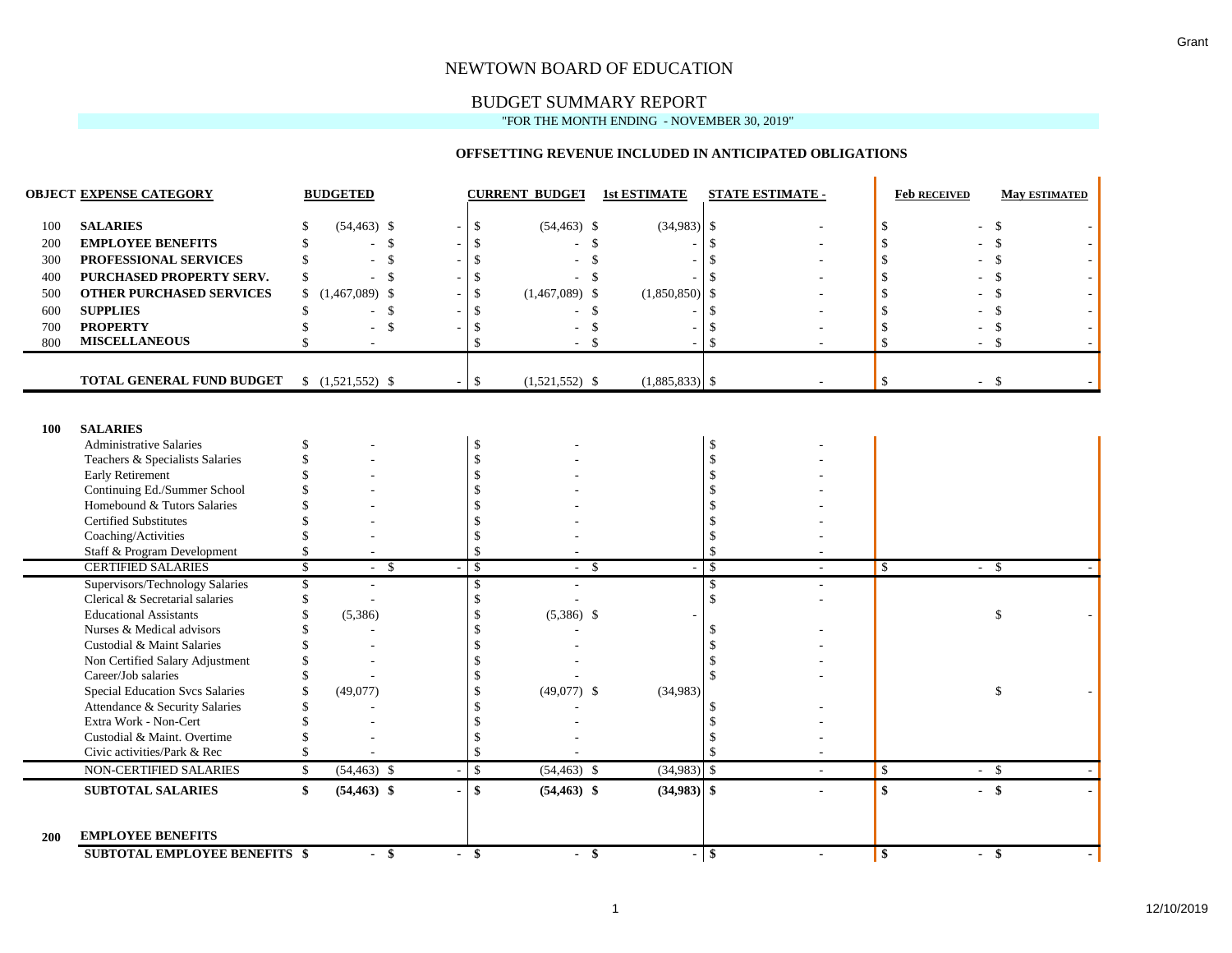#### BUDGET SUMMARY REPORT

"FOR THE MONTH ENDING - NOVEMBER 30, 2019"

#### **OFFSETTING REVENUE INCLUDED IN ANTICIPATED OBLIGATIONS**

|            | <b>OBJECT EXPENSE CATEGORY</b>                                   |              | <b>BUDGETED</b>   |        |                    | <b>CURRENT BUDGET</b> | <b>1st ESTIMATE</b> |                          | <b>STATE ESTIMATE -</b> | <b>Feb RECEIVED</b>                    | <b>May ESTIMATED</b> |
|------------|------------------------------------------------------------------|--------------|-------------------|--------|--------------------|-----------------------|---------------------|--------------------------|-------------------------|----------------------------------------|----------------------|
| 100        | <b>SALARIES</b>                                                  |              | $(54, 463)$ \$    |        | \$                 | $(54, 463)$ \$        | $(34,983)$ \$       |                          |                         | \$                                     | $\mathbb{S}$         |
| 200        | <b>EMPLOYEE BENEFITS</b>                                         |              | \$                |        | $\mathcal{S}$      |                       | \$                  | <sup>\$</sup>            |                         |                                        | \$                   |
| 300        | PROFESSIONAL SERVICES                                            |              | $\mathcal{S}$     |        |                    |                       | \$                  | $\mathcal{S}$            |                         |                                        | $\mathcal{S}$        |
| 400        | PURCHASED PROPERTY SERV.                                         | \$           | \$                |        |                    |                       | $\mathbf{s}$        | <sup>\$</sup>            |                         |                                        | $\mathcal{S}$        |
| 500        | <b>OTHER PURCHASED SERVICES</b>                                  | \$           | $(1,467,089)$ \$  |        |                    | $(1,467,089)$ \$      | (1,850,850)         | $\mathbf{s}$             |                         |                                        | \$                   |
| 600        | <b>SUPPLIES</b>                                                  |              | $\mathcal{S}$     |        | -S                 |                       | $\mathbf{\$}$       | <sup>\$</sup>            |                         | <b>S</b>                               | \$                   |
| 700        | <b>PROPERTY</b>                                                  |              | \$                |        | <sup>\$</sup>      |                       | $\mathcal{S}$       | <sup>\$</sup>            |                         |                                        | \$                   |
| 800        | <b>MISCELLANEOUS</b>                                             | \$           |                   |        | $\mathcal{S}$      |                       | $\mathbf{\hat{S}}$  | $\mathcal{S}$            |                         | $\mathcal{S}$                          | -\$                  |
|            |                                                                  |              |                   |        |                    |                       |                     |                          |                         |                                        |                      |
|            | TOTAL GENERAL FUND BUDGET                                        |              | $$(1,521,552)$ \$ |        | $\mathbf{\hat{S}}$ | $(1,521,552)$ \$      | $(1,885,833)$ \$    |                          |                         | \$                                     | $-$ \$               |
| <b>100</b> | <b>SALARIES</b><br><b>Administrative Salaries</b>                |              |                   |        | \$                 |                       |                     | <sup>\$</sup>            |                         |                                        |                      |
|            | Teachers & Specialists Salaries                                  |              |                   |        | \$                 |                       |                     | $\mathcal{S}$            |                         |                                        |                      |
|            | Early Retirement                                                 |              |                   |        |                    |                       |                     | <sup>\$</sup>            |                         |                                        |                      |
|            | Continuing Ed./Summer School                                     |              |                   |        |                    |                       |                     |                          |                         |                                        |                      |
|            | Homebound & Tutors Salaries                                      |              |                   |        |                    |                       |                     |                          |                         |                                        |                      |
|            | <b>Certified Substitutes</b>                                     |              |                   |        |                    |                       |                     |                          |                         |                                        |                      |
|            | Coaching/Activities                                              |              |                   |        |                    |                       |                     | $\mathcal{S}$            |                         |                                        |                      |
|            | Staff & Program Development                                      |              |                   |        | \$                 |                       |                     | <sup>\$</sup>            |                         |                                        |                      |
|            | <b>CERTIFIED SALARIES</b>                                        | \$           | -S<br>$\sim$      |        | $\mathbb{S}$       | $\sim$                | -\$                 | $\overline{\mathcal{S}}$ |                         | $\sqrt{S}$<br>$\overline{\phantom{a}}$ | - \$                 |
|            | Supervisors/Technology Salaries                                  | \$           |                   |        | \$                 |                       |                     | <sup>\$</sup>            |                         |                                        |                      |
|            | Clerical & Secretarial salaries                                  |              |                   |        | \$                 |                       |                     | $\mathcal{S}$            |                         |                                        |                      |
|            | <b>Educational Assistants</b>                                    |              | (5,386)           |        | $\mathbf{s}$       | $(5,386)$ \$          |                     |                          |                         |                                        | \$                   |
|            | Nurses & Medical advisors                                        |              |                   |        |                    |                       |                     | -8                       |                         |                                        |                      |
|            | Custodial & Maint Salaries                                       |              |                   |        |                    |                       |                     | -S                       |                         |                                        |                      |
|            | Non Certified Salary Adjustment<br>Career/Job salaries           |              |                   |        |                    |                       |                     |                          |                         |                                        |                      |
|            | <b>Special Education Svcs Salaries</b>                           |              | (49,077)          |        |                    | $(49,077)$ \$         | (34, 983)           |                          |                         |                                        | \$                   |
|            | Attendance & Security Salaries                                   |              |                   |        |                    |                       |                     | <sup>\$</sup>            |                         |                                        |                      |
|            | Extra Work - Non-Cert                                            |              |                   |        |                    |                       |                     | -S                       |                         |                                        |                      |
|            | Custodial & Maint. Overtime                                      |              |                   |        |                    |                       |                     | -S                       |                         |                                        |                      |
|            | Civic activities/Park & Rec                                      |              |                   |        | \$                 |                       |                     | $\mathcal{S}$            |                         |                                        |                      |
|            | NON-CERTIFIED SALARIES                                           | $\mathbb{S}$ | $(54, 463)$ \$    |        | $\mathbb{S}$       | $(54, 463)$ \$        | $(34,983)$ \$       |                          |                         | -\$                                    | $-$ \$               |
|            | <b>SUBTOTAL SALARIES</b>                                         | \$           | $(54, 463)$ \$    |        | $\mathbf{s}$       | $(54, 463)$ \$        | $(34,983)$ \$       |                          |                         | $\boldsymbol{\hat{\mathbf{s}}}$        | $-$ \$               |
| <b>200</b> | <b>EMPLOYEE BENEFITS</b><br><b>SUBTOTAL EMPLOYEE BENEFITS \$</b> |              | $-$ \$            | $-$ \$ |                    | $-$ \$                | - \$                |                          | $\blacksquare$          | $\overline{\phantom{a}}$               | - \$                 |

 $\blacksquare$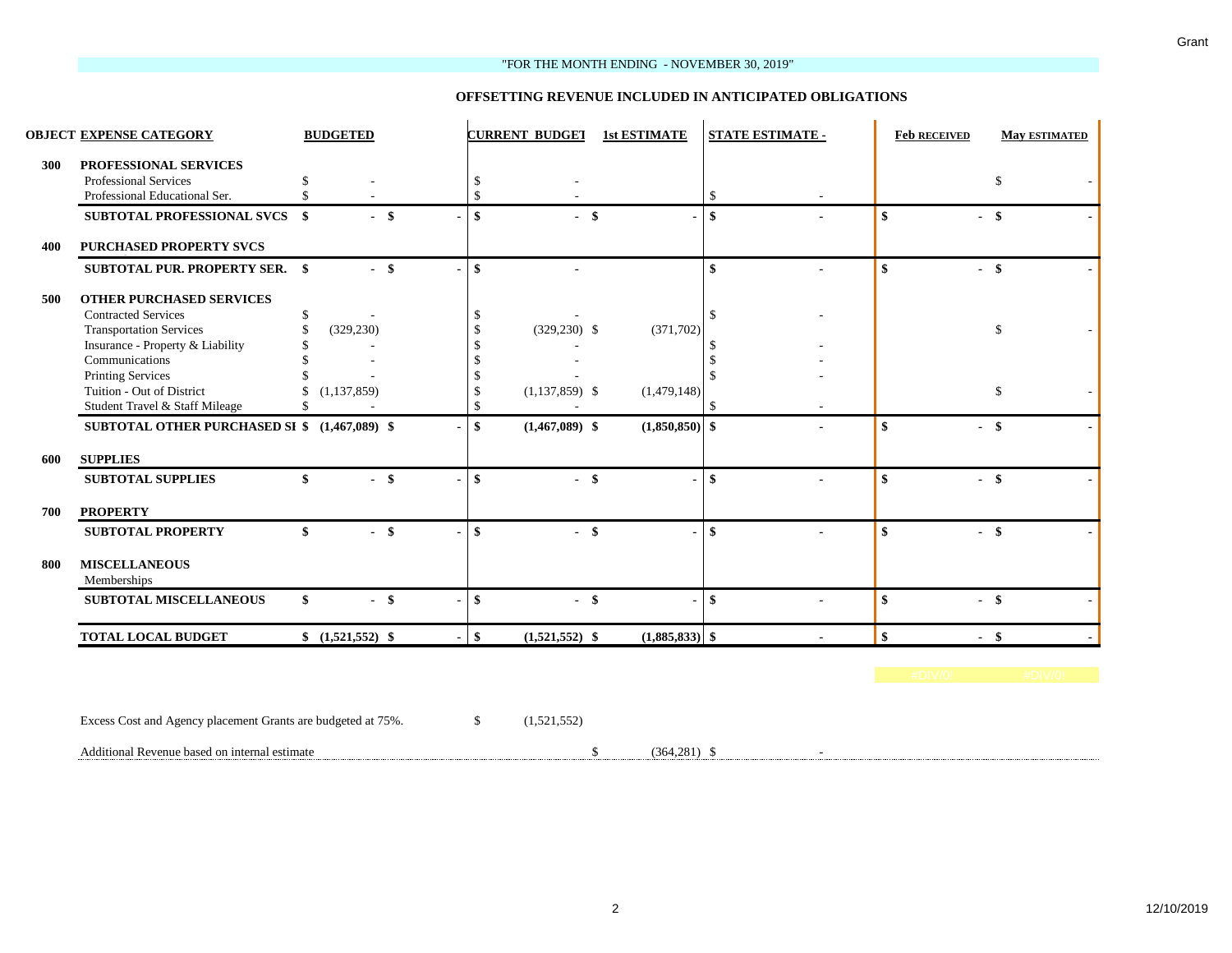#### "FOR THE MONTH ENDING - NOVEMBER 30, 2019"

#### **OFFSETTING REVENUE INCLUDED IN ANTICIPATED OBLIGATIONS**

|     | <b>OBJECT EXPENSE CATEGORY</b>                                                                                                                        |      | <b>BUDGETED</b>   |  |                      | <b>CURRENT BUDGET</b> | <b>1st ESTIMATE</b> |                      | <b>STATE ESTIMATE -</b> | <b>Feb RECEIVED</b> | <b>May ESTIMATED</b> |
|-----|-------------------------------------------------------------------------------------------------------------------------------------------------------|------|-------------------|--|----------------------|-----------------------|---------------------|----------------------|-------------------------|---------------------|----------------------|
| 300 | PROFESSIONAL SERVICES<br>Professional Services<br>Professional Educational Ser.                                                                       | \$.  |                   |  | <sup>\$</sup><br>\$. |                       |                     | \$                   |                         |                     | \$                   |
|     | <b>SUBTOTAL PROFESSIONAL SVCS</b>                                                                                                                     | - \$ | $-$ \$            |  | $\mathbf{s}$         | $-$ \$                |                     | $\mathbf{s}$         |                         | \$<br>$-$ \$        |                      |
| 400 | <b>PURCHASED PROPERTY SVCS</b>                                                                                                                        |      |                   |  |                      |                       |                     |                      |                         |                     |                      |
|     | <b>SUBTOTAL PUR. PROPERTY SER.</b>                                                                                                                    | \$   | $-$ \$            |  | \$                   |                       |                     | \$                   |                         | \$<br>$-$ \$        |                      |
| 500 | <b>OTHER PURCHASED SERVICES</b><br><b>Contracted Services</b><br><b>Transportation Services</b><br>Insurance - Property & Liability<br>Communications | \$   | (329, 230)        |  |                      | $(329, 230)$ \$       | (371, 702)          | -\$<br><sup>\$</sup> |                         |                     | \$                   |
|     | <b>Printing Services</b><br>Tuition - Out of District<br>Student Travel & Staff Mileage                                                               |      | (1, 137, 859)     |  | S<br>\$              | $(1,137,859)$ \$      | (1,479,148)         | -S<br>$\mathcal{S}$  |                         |                     | $\mathbb{S}$         |
|     | SUBTOTAL OTHER PURCHASED SI \$ (1,467,089) \$                                                                                                         |      |                   |  | \$                   | $(1,467,089)$ \$      | $(1,850,850)$ \$    |                      |                         | \$<br>- \$          |                      |
| 600 | <b>SUPPLIES</b>                                                                                                                                       |      |                   |  |                      |                       |                     |                      |                         |                     |                      |
|     | <b>SUBTOTAL SUPPLIES</b>                                                                                                                              | \$   | $-$ \$            |  | \$                   | $-$ \$                | $\blacksquare$      | $\mathbf{\$}$        |                         | \$<br>$-$ \$        |                      |
| 700 | <b>PROPERTY</b>                                                                                                                                       |      |                   |  |                      |                       |                     |                      |                         |                     |                      |
|     | <b>SUBTOTAL PROPERTY</b>                                                                                                                              | \$   | $-$ \$            |  | \$                   | $-$ \$                | $\blacksquare$      | \$                   |                         | \$<br>$-$ \$        |                      |
| 800 | <b>MISCELLANEOUS</b><br>Memberships                                                                                                                   |      |                   |  |                      |                       |                     |                      |                         |                     |                      |
|     | <b>SUBTOTAL MISCELLANEOUS</b>                                                                                                                         | \$   | $-$ \$            |  | \$                   | $-$ \$                |                     | $\mathbf{\$}$        |                         | \$<br>$-$ \$        |                      |
|     | <b>TOTAL LOCAL BUDGET</b>                                                                                                                             |      | $$(1,521,552)$ \$ |  | $\mathbf{s}$         | $(1,521,552)$ \$      | $(1,885,833)$ \$    |                      |                         | \$<br>$-$ \$        |                      |
|     |                                                                                                                                                       |      |                   |  |                      |                       |                     |                      |                         | #DIV/0!             | #DIV/0!              |
|     | Excess Cost and Agency placement Grants are budgeted at 75%.                                                                                          |      |                   |  | \$                   | (1,521,552)           |                     |                      |                         |                     |                      |

Additional Revenue based on internal estimate **Additional Revenue based on internal estimate** and all estimate and the setting of the setting of the setting of the setting of the setting of the setting of the setting of th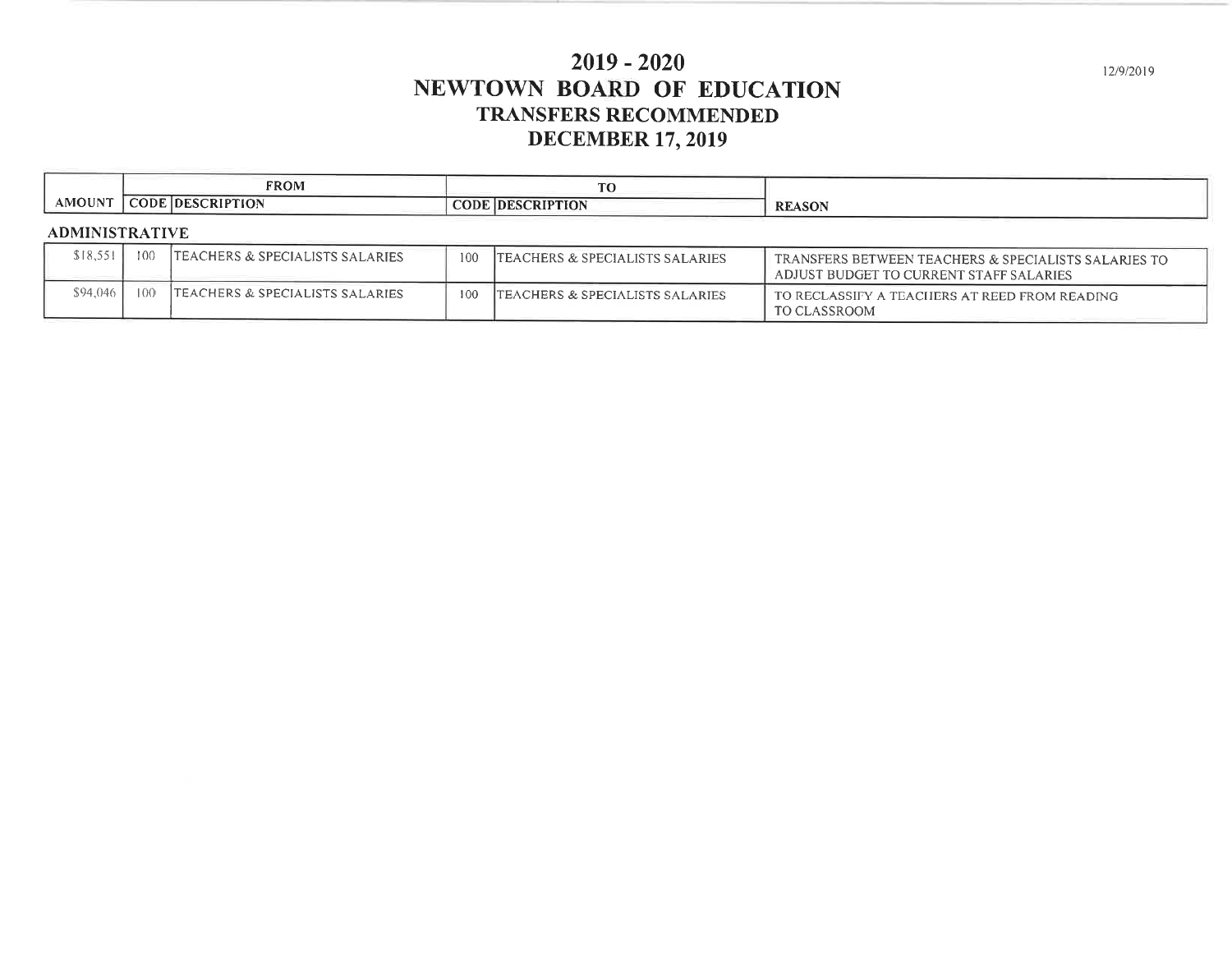# $2019 - 2020$ NEWTOWN BOARD OF EDUCATION **TRANSFERS RECOMMENDED DECEMBER 17, 2019**

|                | <b>FROM</b>                        | ጥጣ<br>1 V                                 |               |
|----------------|------------------------------------|-------------------------------------------|---------------|
| AMOUNT         | <b>CODE</b><br><b>JDESCRIPTION</b> | <b>DESCRIPTION</b><br><b>CODE.</b><br>IDE | <b>REASON</b> |
| <b>ADMINIS</b> | , , , , , , , , , ,                |                                           |               |

| \$18.551 | ITEACHERS & SPECIALISTS SALARIES           | 100 | TEACHERS & SPECIALISTS SALARIES | TRANSFERS BETWEEN TEACHERS & SPECIALISTS SALARIES TO<br>ADJUST BUDGET TO CURRENT STAFF SALARIES |
|----------|--------------------------------------------|-----|---------------------------------|-------------------------------------------------------------------------------------------------|
| \$94,046 | <b>TEACHERS &amp; SPECIALISTS SALARIES</b> | 100 | TEACHERS & SPECIALISTS SALARIES | $\Box$ TO RECLASSIFY A TEACHERS AT REED FROM READING.<br>TO CLASSROOM                           |

12/9/2019